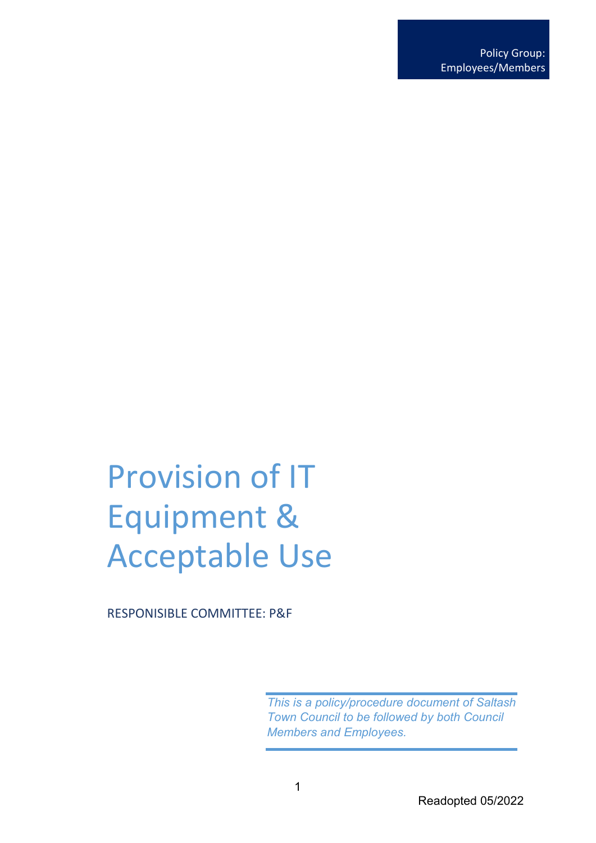# Provision of IT Equipment & Acceptable Use

RESPONISIBLE COMMITTEE: P&F

*This is a policy/procedure document of Saltash Town Council to be followed by both Council Members and Employees.*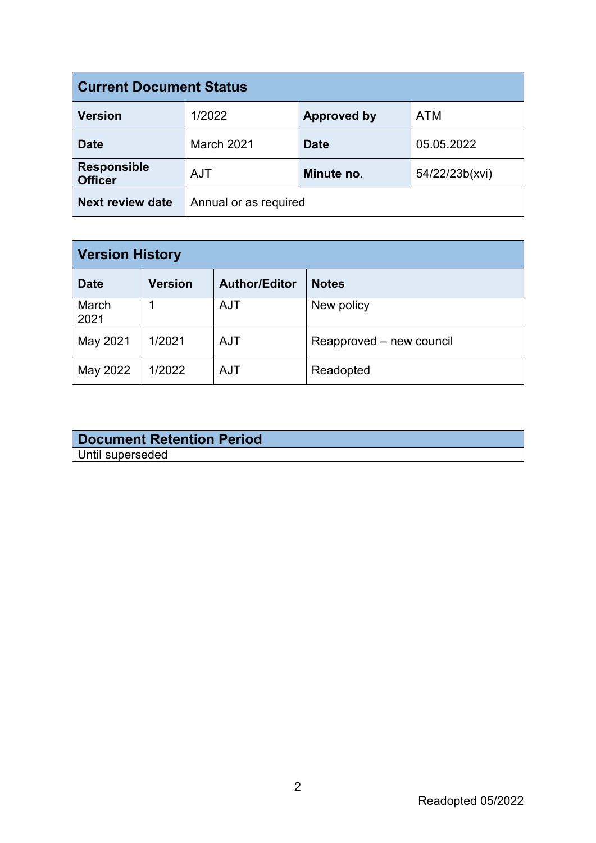| <b>Current Document Status</b>       |                       |                    |                |  |
|--------------------------------------|-----------------------|--------------------|----------------|--|
| <b>Version</b>                       | 1/2022                | <b>Approved by</b> | <b>ATM</b>     |  |
| <b>Date</b>                          | March 2021            | <b>Date</b>        | 05.05.2022     |  |
| <b>Responsible</b><br><b>Officer</b> | <b>AJT</b>            | Minute no.         | 54/22/23b(xvi) |  |
| <b>Next review date</b>              | Annual or as required |                    |                |  |

| <b>Version History</b> |                |                      |                          |  |
|------------------------|----------------|----------------------|--------------------------|--|
| <b>Date</b>            | <b>Version</b> | <b>Author/Editor</b> | <b>Notes</b>             |  |
| March<br>2021          |                | <b>AJT</b>           | New policy               |  |
| May 2021               | 1/2021         | <b>AJT</b>           | Reapproved – new council |  |
| May 2022               | 1/2022         | <b>AJT</b>           | Readopted                |  |

#### **Document Retention Period** Until superseded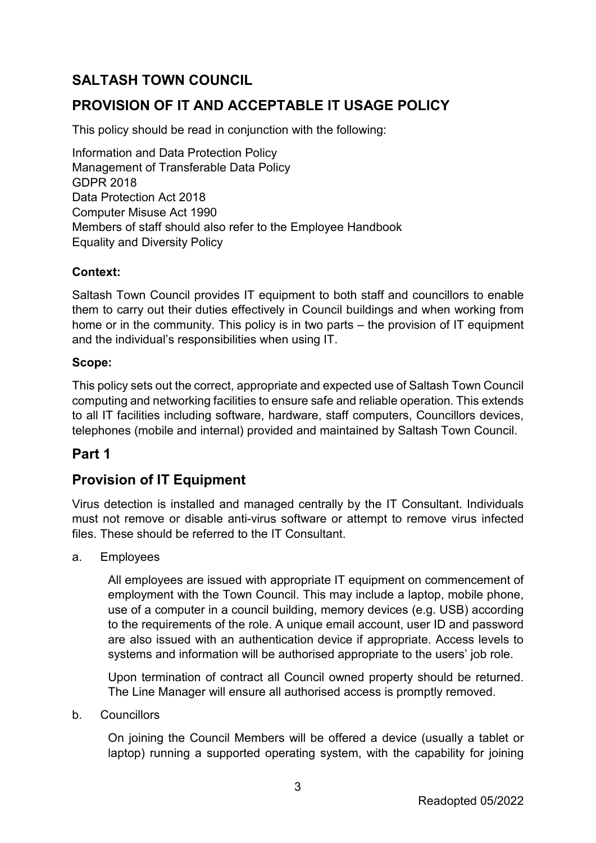## **SALTASH TOWN COUNCIL**

## **PROVISION OF IT AND ACCEPTABLE IT USAGE POLICY**

This policy should be read in conjunction with the following:

Information and Data Protection Policy Management of Transferable Data Policy GDPR 2018 Data Protection Act 2018 Computer Misuse Act 1990 Members of staff should also refer to the Employee Handbook Equality and Diversity Policy

### **Context:**

Saltash Town Council provides IT equipment to both staff and councillors to enable them to carry out their duties effectively in Council buildings and when working from home or in the community. This policy is in two parts – the provision of IT equipment and the individual's responsibilities when using IT.

#### **Scope:**

This policy sets out the correct, appropriate and expected use of Saltash Town Council computing and networking facilities to ensure safe and reliable operation. This extends to all IT facilities including software, hardware, staff computers, Councillors devices, telephones (mobile and internal) provided and maintained by Saltash Town Council.

### **Part 1**

## **Provision of IT Equipment**

Virus detection is installed and managed centrally by the IT Consultant. Individuals must not remove or disable anti-virus software or attempt to remove virus infected files. These should be referred to the IT Consultant.

#### a. Employees

All employees are issued with appropriate IT equipment on commencement of employment with the Town Council. This may include a laptop, mobile phone, use of a computer in a council building, memory devices (e.g. USB) according to the requirements of the role. A unique email account, user ID and password are also issued with an authentication device if appropriate. Access levels to systems and information will be authorised appropriate to the users' job role.

Upon termination of contract all Council owned property should be returned. The Line Manager will ensure all authorised access is promptly removed.

b. Councillors

On joining the Council Members will be offered a device (usually a tablet or laptop) running a supported operating system, with the capability for joining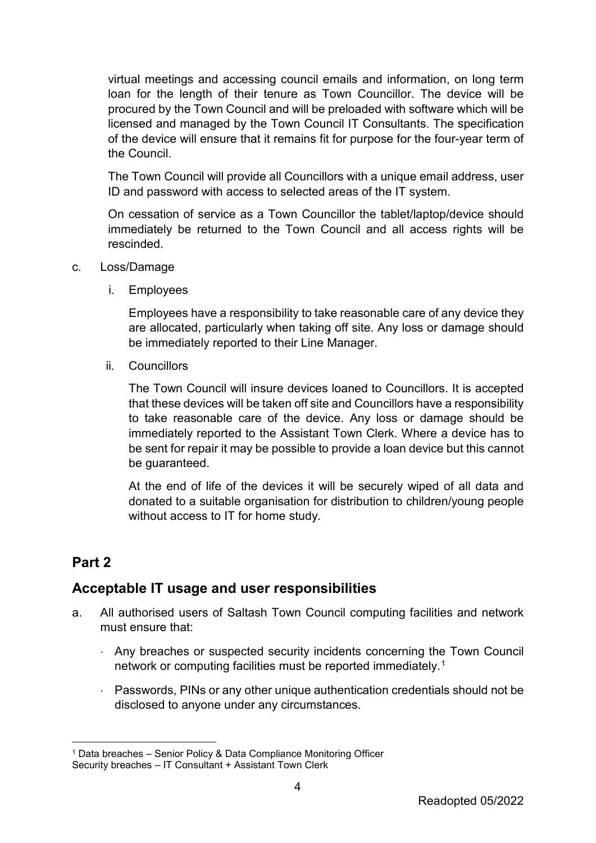virtual meetings and accessing council emails and information, on long term loan for the length of their tenure as Town Councillor. The device will be procured by the Town Council and will be preloaded with software which will be licensed and managed by the Town Council IT Consultants. The specification of the device will ensure that it remains fit for purpose for the four-year term of the Council.

The Town Council will provide all Councillors with a unique email address, user ID and password with access to selected areas of the IT system.

On cessation of service as a Town Councillor the tablet/laptop/device should immediately be returned to the Town Council and all access rights will be rescinded.

- c. Loss/Damage
	- i. Employees

Employees have a responsibility to take reasonable care of any device they are allocated, particularly when taking off site. Any loss or damage should be immediately reported to their Line Manager.

ii. Councillors

The Town Council will insure devices loaned to Councillors. It is accepted that these devices will be taken off site and Councillors have a responsibility to take reasonable care of the device. Any loss or damage should be immediately reported to the Assistant Town Clerk. Where a device has to be sent for repair it may be possible to provide a loan device but this cannot be guaranteed.

At the end of life of the devices it will be securely wiped of all data and donated to a suitable organisation for distribution to children/young people without access to IT for home study.

### **Part 2**

### **Acceptable IT usage and user responsibilities**

- a. All authorised users of Saltash Town Council computing facilities and network must ensure that:
	- ⋅ Any breaches or suspected security incidents concerning the Town Council network or computing facilities must be reported immediately.<sup>[1](#page-3-0)</sup>
	- ⋅ Passwords, PINs or any other unique authentication credentials should not be disclosed to anyone under any circumstances.

<span id="page-3-0"></span><sup>&</sup>lt;sup>1</sup> Data breaches – Senior Policy & Data Compliance Monitoring Officer Security breaches – IT Consultant + Assistant Town Clerk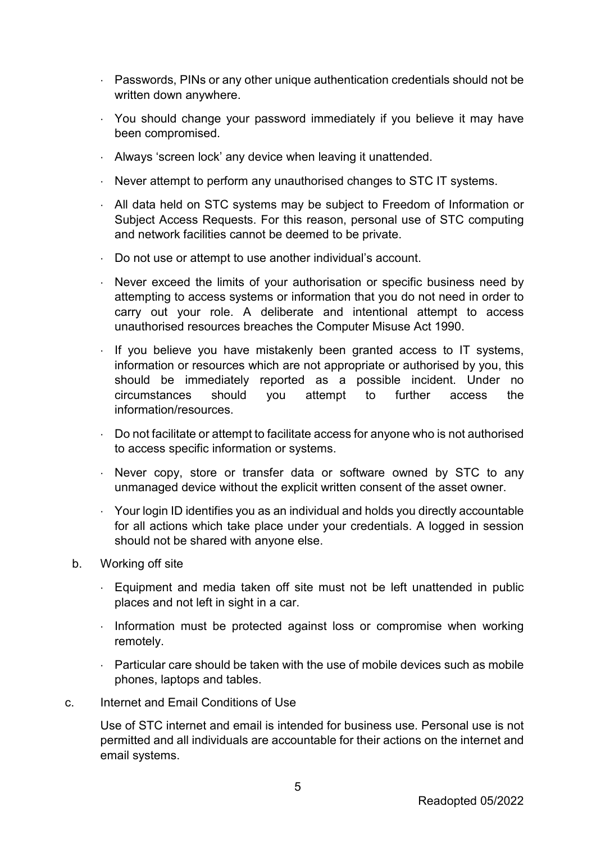- ⋅ Passwords, PINs or any other unique authentication credentials should not be written down anywhere.
- ⋅ You should change your password immediately if you believe it may have been compromised.
- ⋅ Always 'screen lock' any device when leaving it unattended.
- ⋅ Never attempt to perform any unauthorised changes to STC IT systems.
- ⋅ All data held on STC systems may be subject to Freedom of Information or Subject Access Requests. For this reason, personal use of STC computing and network facilities cannot be deemed to be private.
- ⋅ Do not use or attempt to use another individual's account.
- ⋅ Never exceed the limits of your authorisation or specific business need by attempting to access systems or information that you do not need in order to carry out your role. A deliberate and intentional attempt to access unauthorised resources breaches the Computer Misuse Act 1990.
- ⋅ If you believe you have mistakenly been granted access to IT systems, information or resources which are not appropriate or authorised by you, this should be immediately reported as a possible incident. Under no circumstances should you attempt to further access the information/resources.
- ⋅ Do not facilitate or attempt to facilitate access for anyone who is not authorised to access specific information or systems.
- $\cdot$  Never copy, store or transfer data or software owned by STC to any unmanaged device without the explicit written consent of the asset owner.
- ⋅ Your login ID identifies you as an individual and holds you directly accountable for all actions which take place under your credentials. A logged in session should not be shared with anyone else.
- b. Working off site
	- ⋅ Equipment and media taken off site must not be left unattended in public places and not left in sight in a car.
	- ⋅ Information must be protected against loss or compromise when working remotely.
	- $\cdot$  Particular care should be taken with the use of mobile devices such as mobile phones, laptops and tables.
- c. Internet and Email Conditions of Use

Use of STC internet and email is intended for business use. Personal use is not permitted and all individuals are accountable for their actions on the internet and email systems.